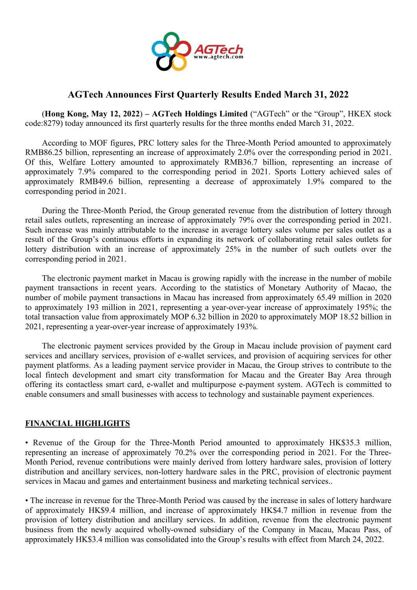

## **AGTech Announces First Quarterly Results Ended March 31, 2022**

(**Hong Kong, May 12, 2022**) **– AGTech Holdings Limited** ("AGTech" or the "Group", HKEX stock code:8279) today announced its first quarterly results for the three months ended March 31, 2022.

According to MOF figures, PRC lottery sales for the Three-Month Period amounted to approximately RMB86.25 billion, representing an increase of approximately 2.0% over the corresponding period in 2021. Of this, Welfare Lottery amounted to approximately RMB36.7 billion, representing an increase of approximately 7.9% compared to the corresponding period in 2021. Sports Lottery achieved sales of approximately RMB49.6 billion, representing a decrease of approximately 1.9% compared to the corresponding period in 2021.

During the Three-Month Period, the Group generated revenue from the distribution of lottery through retail sales outlets, representing an increase of approximately 79% over the corresponding period in 2021. Such increase was mainly attributable to the increase in average lottery sales volume per sales outlet as a result of the Group's continuous efforts in expanding its network of collaborating retail sales outlets for lottery distribution with an increase of approximately 25% in the number of such outlets over the corresponding period in 2021.

The electronic payment market in Macau is growing rapidly with the increase in the number of mobile payment transactions in recent years. According to the statistics of Monetary Authority of Macao, the number of mobile payment transactions in Macau has increased from approximately 65.49 million in 2020 to approximately 193 million in 2021, representing a year-over-year increase of approximately 195%; the total transaction value from approximately MOP 6.32 billion in 2020 to approximately MOP 18.52 billion in 2021, representing a year-over-year increase of approximately 193%.

The electronic payment services provided by the Group in Macau include provision of payment card services and ancillary services, provision of e-wallet services, and provision of acquiring services for other payment platforms. As a leading payment service provider in Macau, the Group strives to contribute to the local fintech development and smart city transformation for Macau and the Greater Bay Area through offering its contactless smart card, e-wallet and multipurpose e-payment system. AGTech is committed to enable consumers and small businesses with access to technology and sustainable payment experiences.

## **FINANCIAL HIGHLIGHTS**

• Revenue of the Group for the Three-Month Period amounted to approximately HK\$35.3 million, representing an increase of approximately 70.2% over the corresponding period in 2021. For the Three- Month Period, revenue contributions were mainly derived from lottery hardware sales, provision of lottery distribution and ancillary services, non-lottery hardware sales in the PRC, provision of electronic payment services in Macau and games and entertainment business and marketing technical services..

• The increase in revenue for the Three-Month Period was caused by the increase in sales of lottery hardware of approximately HK\$9.4 million, and increase of approximately HK\$4.7 million in revenue from the provision of lottery distribution and ancillary services. In addition, revenue from the electronic payment business from the newly acquired wholly-owned subsidiary of the Company in Macau, Macau Pass, of approximately HK\$3.4 million was consolidated into the Group's results with effect from March 24, 2022.